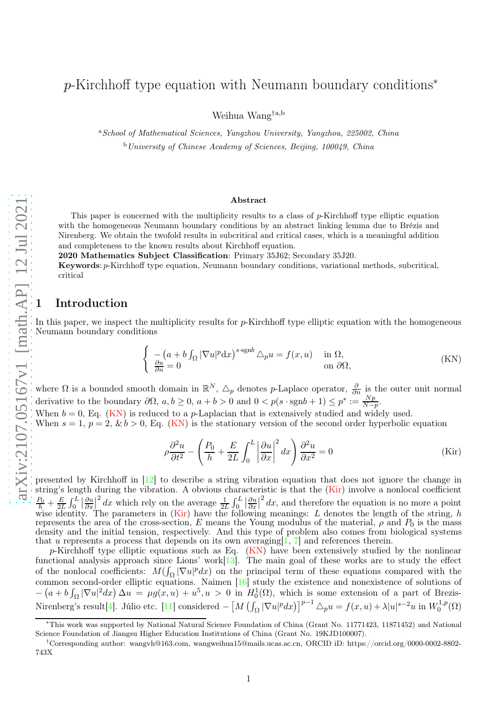# p-Kirchhoff type equation with Neumann boundary conditions<sup>\*</sup>

Weihua Wang†a,b

<sup>a</sup>School of Mathematical Sciences, Yangzhou University, Yangzhou, 225002, China <sup>b</sup>University of Chinese Academy of Sciences, Beijing, 100049, China

#### <span id="page-0-0"></span>Abstract

This paper is concerned with the multiplicity results to a class of  $p$ -Kirchhoff type elliptic equation with the homogeneous Neumann boundary conditions by an abstract linking lemma due to Brézis and Nirenberg. We obtain the twofold results in subcritical and critical cases, which is a meaningful addition and completeness to the known results about Kirchhoff equation.

2020 Mathematics Subject Classification: Primary 35J62; Secondary 35J20.

Keywords : p-Kirchhoff type equation, Neumann boundary conditions, variational methods, subcritical, critical

#### **Introduction**

In this paper, we inspect the multiplicity results for *p*-Kirchhoff type elliptic equation with the homogeneous Neumann boundary conditions

$$
\begin{cases}\n-(a+b\int_{\Omega}|\nabla u|^p\mathrm{d}x)^{s\cdot\mathrm{sgn}b}\Delta_p u = f(x,u) & \text{in }\Omega, \\
\frac{\partial u}{\partial n} = 0 & \text{on }\partial\Omega,\n\end{cases}
$$
\n(KN)

where  $\Omega$  is a bounded smooth domain in  $\mathbb{R}^N$ ,  $\Delta_p$  denotes p-Laplace operator,  $\frac{\partial}{\partial n}$  is the outer unit normal derivative to the boundary  $\partial\Omega$ ,  $a, b \ge 0$ ,  $a + b > 0$  and  $0 < p(s \cdot \text{sgn}b + 1) \le p^* := \frac{Np}{N-p}$ .

When  $b = 0$ , Eq. [\(KN\)](#page-0-0) is reduced to a *p*-Laplacian that is extensively studied and widely used. When  $s = 1$ ,  $p = 2$ ,  $\& b > 0$ , Eq. [\(KN\)](#page-0-0) is the stationary version of the second order hyperbolic equation

<span id="page-0-1"></span>
$$
\rho \frac{\partial^2 u}{\partial t^2} - \left( \frac{P_0}{h} + \frac{E}{2L} \int_0^L \left| \frac{\partial u}{\partial x} \right|^2 dx \right) \frac{\partial^2 u}{\partial x^2} = 0
$$
 (Kir)

presented by Kirchhoff in [\[12\]](#page-8-0) to describe a string vibration equation that does not ignore the change in string's length during the vibration. A obvious characteristic is that the [\(Kir\)](#page-0-1) involve a nonlocal coefficient  $\frac{P_0}{h} + \frac{E}{2L} \int_0^L \left| \frac{\partial u}{\partial x} \right|^2 dx$  which rely on the average  $\frac{1}{2L} \int_0^L \left| \frac{\partial u}{\partial x} \right|^2 dx$ , and therefore the equation is no more a point wise identity. The parameters in  $(Kir)$  have the following meanings: L denotes the length of the string, h represents the area of the cross-section, E means the Young modulus of the material,  $\rho$  and  $P_0$  is the mass density and the initial tension, respectively. And this type of problem also comes from biological systems that u represents a process that depends on its own averaging  $[1, 7]$  $[1, 7]$  $[1, 7]$  $[1, 7]$  and references therein.

p-Kirchhoff type elliptic equations such as Eq.  $(KN)$  have been extensively studied by the nonlinear functional analysis approach since Lions' work $[13]$ . The main goal of these works are to study the effect of the nonlocal coefficients:  $M(\int_{\Omega} |\nabla u|^p dx)$  on the principal term of these equations compared with the common second-order elliptic equations. Naimen [\[16\]](#page-8-3) study the existence and nonexistence of solutions of  $-(a+b\int_{\Omega}|\nabla u|^2dx)\Delta u = \mu g(x,u)+u^5,u > 0$  in  $H_0^1(\Omega)$ , which is some extension of a part of Brezis-Nirenberg's result[\[4\]](#page-7-1). Júlio etc. [\[11\]](#page-8-4) considered  $- [M (\int_{\Omega} |\nabla u|^p dx)]^{p-1} \triangle_p u = f(x, u) + \lambda |u|^{s-2} u$  in  $W_0^{1,p}$  $\binom{1,p}{0}$ 

<sup>∗</sup>This work was supported by National Natural Science Foundation of China (Grant No. 11771423, 11871452) and National Science Foundation of Jiangsu Higher Education Institutions of China (Grant No. 19KJD100007).

<sup>†</sup>Corresponding author: wangvh@163.com, wangweihua15@mails.ucas.ac.cn, ORCID iD: https://orcid.org/0000-0002-8802- 743X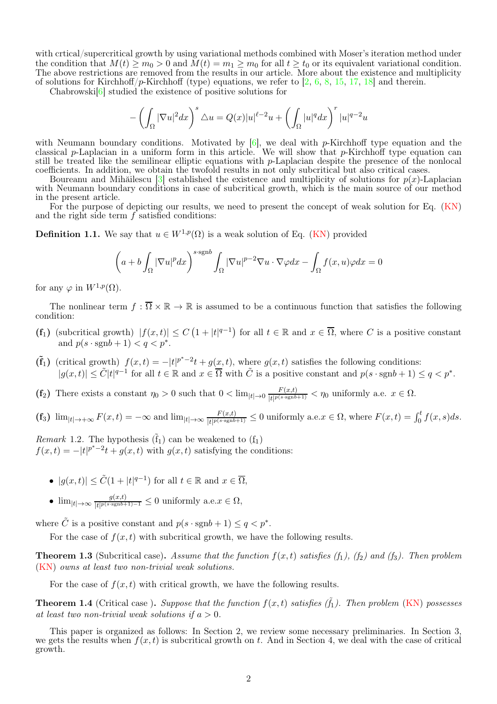with crtical/supercritical growth by using variational methods combined with Moser's iteration method under the condition that  $M(t) \ge m_0 > 0$  and  $M(t) = m_1 \ge m_0$  for all  $t \ge t_0$  or its equivalent variational condition. The above restrictions are removed from the results in our article. More about the existence and multiplicity of solutions for Kirchhoff/p-Kirchhoff (type) equations, we refer to  $\left[2, 6, 8, 15, 17, 18\right]$  $\left[2, 6, 8, 15, 17, 18\right]$  $\left[2, 6, 8, 15, 17, 18\right]$  $\left[2, 6, 8, 15, 17, 18\right]$  $\left[2, 6, 8, 15, 17, 18\right]$  $\left[2, 6, 8, 15, 17, 18\right]$  $\left[2, 6, 8, 15, 17, 18\right]$  $\left[2, 6, 8, 15, 17, 18\right]$  $\left[2, 6, 8, 15, 17, 18\right]$  and therein.

Chabrowski $[6]$  studied the existence of positive solutions for

$$
-\left(\int_{\Omega}|\nabla u|^2dx\right)^{s}\triangle u=Q(x)|u|^{\ell-2}u+\left(\int_{\Omega}|u|^qdx\right)^{r}|u|^{q-2}u
$$

with Neumann boundary conditions. Motivated by  $[6]$ , we deal with p-Kirchhoff type equation and the classical p-Laplacian in a uniform form in this article. We will show that p-Kirchhoff type equation can still be treated like the semilinear elliptic equations with p-Laplacian despite the presence of the nonlocal coefficients. In addition, we obtain the twofold results in not only subcritical but also critical cases.

Boureanu and Mihăilescu [\[3\]](#page-7-3) established the existence and multiplicity of solutions for  $p(x)$ -Laplacian with Neumann boundary conditions in case of subcritical growth, which is the main source of our method in the present article.

For the purpose of depicting our results, we need to present the concept of weak solution for Eq. [\(KN\)](#page-0-0) and the right side term f satisfied conditions:

**Definition 1.1.** We say that  $u \in W^{1,p}(\Omega)$  is a weak solution of Eq. [\(KN\)](#page-0-0) provided

$$
\left(a+b\int_{\Omega}|\nabla u|^pdx\right)^{s\cdot \text{sgn}b}\int_{\Omega}|\nabla u|^{p-2}\nabla u\cdot \nabla \varphi dx-\int_{\Omega}f(x,u)\varphi dx=0
$$

for any  $\varphi$  in  $W^{1,p}(\Omega)$ .

The nonlinear term  $f : \overline{\Omega} \times \mathbb{R} \to \mathbb{R}$  is assumed to be a continuous function that satisfies the following condition:

- $(f_1)$  (subcritical growth)  $|f(x,t)| \leq C(1+|t|^{q-1})$  for all  $t \in \mathbb{R}$  and  $x \in \overline{\Omega}$ , where C is a positive constant and  $p(s \cdot \text{sgn}b + 1) < q < p^*$ .
- $(\tilde{f}_1)$  (critical growth)  $f(x,t) = -|t|^{p^*-2}t + g(x,t)$ , where  $g(x,t)$  satisfies the following conditions:  $|g(x,t)| \leq \tilde{C}|t|^{q-1}$  for all  $t \in \mathbb{R}$  and  $x \in \overline{\Omega}$  with  $\tilde{C}$  is a positive constant and  $p(s \cdot \text{sgn}b + 1) \leq q < p^*$ .

(f<sub>2</sub>) There exists a constant  $\eta_0 > 0$  such that  $0 < \lim_{|t| \to 0} \frac{F(x,t)}{|t|^{p(s-sgnb)}}$  $\frac{f'(x,t)}{|t|^{p(s\text{-sgn}b+1)}} < \eta_0$  uniformly a.e.  $x \in \Omega$ .

 $(f_3)$   $\lim_{|t|\to+\infty} F(x,t) = -\infty$  and  $\lim_{|t|\to\infty} \frac{F(x,t)}{|t|^{p(s\text{-sgn}b)}}$  $\frac{F(x,t)}{|t|^{p(s\cdot \text{sgn}b+1)}} \leq 0$  uniformly a.e.  $x \in \Omega$ , where  $F(x,t) = \int_0^t f(x,s)ds$ .

Remark 1.2. The hypothesis  $(\tilde{f}_1)$  can be weakened to  $(\underline{f}_1)$  $f(x,t) = -|t|^{p^*-2}t + g(x,t)$  with  $g(x,t)$  satisfying the conditions:

- $|g(x,t)| \leq \tilde{C}(1+|t|^{q-1})$  for all  $t \in \mathbb{R}$  and  $x \in \overline{\Omega}$ ,
- $\lim_{|t| \to \infty} \frac{g(x,t)}{|t| p(s \cdot \text{sgn}b + t)}$  $\frac{g(x,t)}{|t|^{p(s\cdot \text{sgn}b+1)-1}} \leq 0$  uniformly a.e.  $x \in \Omega$ ,

where  $\tilde{C}$  is a positive constant and  $p(s \cdot \text{sgn}b + 1) \le q < p^*$ .

For the case of  $f(x, t)$  with subcritical growth, we have the following results.

<span id="page-1-0"></span>**Theorem 1.3** (Subcritical case). Assume that the function  $f(x, t)$  satisfies (f<sub>1</sub>), (f<sub>2</sub>) and (f<sub>3</sub>). Then problem [\(KN\)](#page-0-0) owns at least two non-trivial weak solutions.

For the case of  $f(x, t)$  with critical growth, we have the following results.

<span id="page-1-1"></span>**Theorem 1.4** (Critical case). Suppose that the function  $f(x,t)$  satisfies  $(\tilde{f}_1)$ . Then problem [\(KN\)](#page-0-0) possesses at least two non-trivial weak solutions if  $a > 0$ .

This paper is organized as follows: In Section 2, we review some necessary preliminaries. In Section 3, we gets the results when  $f(x, t)$  is subcritical growth on t. And in Section 4, we deal with the case of critical growth.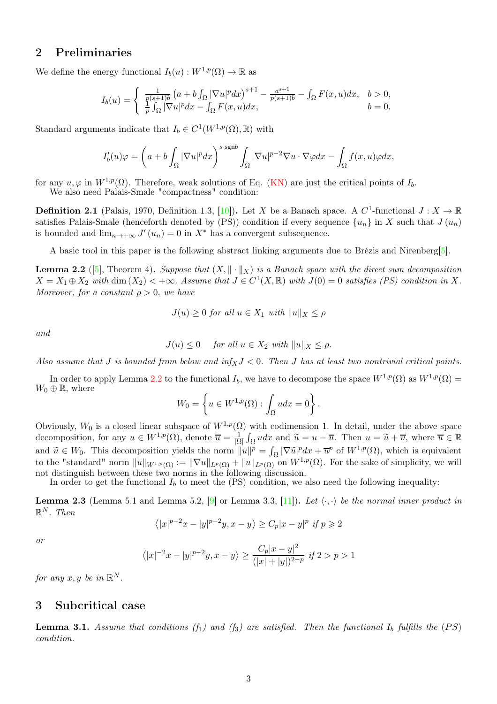## 2 Preliminaries

We define the energy functional  $I_b(u): W^{1,p}(\Omega) \to \mathbb{R}$  as

$$
I_b(u) = \begin{cases} \frac{1}{p(s+1)b} \left( a + b \int_{\Omega} |\nabla u|^p dx \right)^{s+1} - \frac{a^{s+1}}{p(s+1)b} - \int_{\Omega} F(x, u) dx, & b > 0, \\ \frac{1}{p} \int_{\Omega} |\nabla u|^p dx - \int_{\Omega} F(x, u) dx, & b = 0. \end{cases}
$$

Standard arguments indicate that  $I_b \in C^1(W^{1,p}(\Omega), \mathbb{R})$  with

$$
I'_b(u)\varphi = \left(a + b\int_{\Omega} |\nabla u|^p dx\right)^{s \cdot \text{sgn}b} \int_{\Omega} |\nabla u|^{p-2} \nabla u \cdot \nabla \varphi dx - \int_{\Omega} f(x, u)\varphi dx,
$$

for any  $u, \varphi$  in  $W^{1,p}(\Omega)$ . Therefore, weak solutions of Eq. [\(KN\)](#page-0-0) are just the critical points of  $I_b$ .

We also need Palais-Smale "compactness" condition:

**Definition 2.1** (Palais, 1970, Definition 1.3, [\[10\]](#page-8-10)). Let X be a Banach space. A  $C^1$ -functional  $J: X \to \mathbb{R}$ satisfies Palais-Smale (henceforth denoted by (PS)) condition if every sequence  $\{u_n\}$  in X such that  $J(u_n)$ is bounded and  $\lim_{n\to+\infty} J'(u_n) = 0$  in  $X^*$  has a convergent subsequence.

A basic tool in this paper is the following abstract linking arguments due to Brézis and Nirenberg[\[5\]](#page-7-4).

<span id="page-2-0"></span>**Lemma 2.2** ([\[5\]](#page-7-4), Theorem 4). Suppose that  $(X, \|\cdot\|_X)$  is a Banach space with the direct sum decomposition  $X = X_1 \oplus X_2$  with  $\dim(X_2) < +\infty$ . Assume that  $J \in C^1(X, \mathbb{R})$  with  $J(0) = 0$  satisfies (PS) condition in X. Moreover, for a constant  $\rho > 0$ , we have

$$
J(u) \ge 0 \text{ for all } u \in X_1 \text{ with } ||u||_X \le \rho
$$

and

$$
J(u) \le 0 \quad \text{ for all } u \in X_2 \text{ with } ||u||_X \le \rho.
$$

Also assume that J is bounded from below and  $\inf_X J < 0$ . Then J has at least two nontrivial critical points.

In order to apply Lemma [2.2](#page-2-0) to the functional  $I_b$ , we have to decompose the space  $W^{1,p}(\Omega)$  as  $W^{1,p}(\Omega)$  =  $W_0 \oplus \mathbb{R}$ , where

$$
W_0 = \left\{ u \in W^{1,p}(\Omega) : \int_{\Omega} u dx = 0 \right\}.
$$

Obviously,  $W_0$  is a closed linear subspace of  $W^{1,p}(\Omega)$  with codimension 1. In detail, under the above space decomposition, for any  $u \in W^{1,p}(\Omega)$ , denote  $\overline{u} = \frac{1}{|\Omega|} \int_{\Omega} u dx$  and  $\widetilde{u} = u - \overline{u}$ . Then  $u = \widetilde{u} + \overline{u}$ , where  $\overline{u} \in \mathbb{R}$ and  $\widetilde{u} \in W_0$ . This decomposition yields the norm  $||u||^p = \int_{\Omega} |\nabla \widetilde{u}|^p dx + \overline{u}^p$  of  $W^{1,p}(\Omega)$ , which is equivalent to the "standard" norm  $||u||_{W^{1,p}(\Omega)} := ||\nabla u||_{L^p(\Omega)} + ||u||_{L^p(\Omega)}$  on  $W^{1,p}(\Omega)$ . For the sake of simplicity, we will not distinguish between these two norms in the following discussion.

In order to get the functional  $I_b$  to meet the (PS) condition, we also need the following inequality:

<span id="page-2-1"></span>**Lemma 2.3** (Lemma 5.1 and Lemma 5.2,  $[9]$  or Lemma 3.3,  $[11]$ ). Let  $\langle \cdot, \cdot \rangle$  be the normal inner product in  $\mathbb{R}^N$ . Then

$$
\left\langle |x|^{p-2}x-|y|^{p-2}y,x-y\right\rangle \geq C_{p}|x-y|^{p}~\textit{if}~p\geqslant 2
$$

or

$$
\langle |x|^{-2}x - |y|^{p-2}y, x - y \rangle \ge \frac{C_p|x - y|^2}{(|x| + |y|)^{2-p}} \text{ if } 2 > p > 1
$$

for any  $x, y$  be in  $\mathbb{R}^N$ .

#### 3 Subcritical case

<span id="page-2-2"></span>**Lemma 3.1.** Assume that conditions  $(f_1)$  and  $(f_3)$  are satisfied. Then the functional  $I_b$  fulfills the  $(PS)$ condition.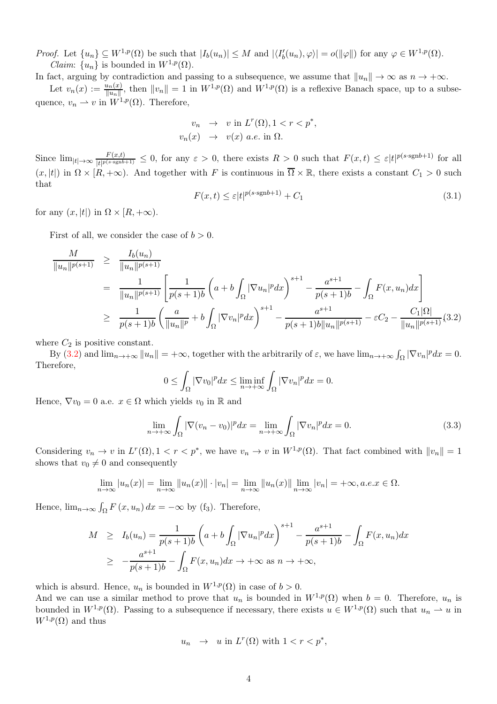*Proof.* Let  $\{u_n\} \subseteq W^{1,p}(\Omega)$  be such that  $|I_b(u_n)| \leq M$  and  $|\langle I'_b(u_n), \varphi \rangle| = o(\|\varphi\|)$  for any  $\varphi \in W^{1,p}(\Omega)$ . *Claim:*  $\{u_n\}$  is bounded in  $W^{1,p}(\Omega)$ .

In fact, arguing by contradiction and passing to a subsequence, we assume that  $||u_n|| \to \infty$  as  $n \to +\infty$ .

Let  $v_n(x) := \frac{u_n(x)}{||u_n||}$ , then  $||v_n|| = 1$  in  $W^{1,p}(\Omega)$  and  $W^{1,p}(\Omega)$  is a reflexive Banach space, up to a subsequence,  $v_n \rightharpoonup v$  in  $W^{1,p}(\Omega)$ . Therefore,

$$
v_n \rightarrow v \text{ in } L^r(\Omega), 1 < r < p^*,
$$
  

$$
v_n(x) \rightarrow v(x) \text{ a.e. in } \Omega.
$$

Since  $\lim_{|t|\to\infty} \frac{F(x,t)}{|t|^{p(s\cdot \text{sgn}b)}}$  $\frac{F(x,t)}{|t|^{p(s\cdot \text{sgn}b+1)}} \leq 0$ , for any  $\varepsilon > 0$ , there exists  $R > 0$  such that  $F(x,t) \leq \varepsilon |t|^{p(s\cdot \text{sgn}b+1)}$  for all  $(x, |t|)$  in  $\Omega \times [R, +\infty)$ . And together with F is continuous in  $\overline{\Omega} \times \mathbb{R}$ , there exists a constant  $C_1 > 0$  such that

$$
F(x,t) \le \varepsilon |t|^{p(s \cdot \text{sgn}b + 1)} + C_1 \tag{3.1}
$$

for any  $(x, |t|)$  in  $\Omega \times [R, +\infty)$ .

First of all, we consider the case of  $b > 0$ .

<span id="page-3-0"></span>
$$
\frac{M}{\|u_n\|^{p(s+1)}} \geq \frac{I_b(u_n)}{\|u_n\|^{p(s+1)}}
$$
\n
$$
= \frac{1}{\|u_n\|^{p(s+1)}} \left[ \frac{1}{p(s+1)b} \left( a + b \int_{\Omega} |\nabla u_n|^p dx \right)^{s+1} - \frac{a^{s+1}}{p(s+1)b} - \int_{\Omega} F(x, u_n) dx \right]
$$
\n
$$
\geq \frac{1}{p(s+1)b} \left( \frac{a}{\|u_n\|^p} + b \int_{\Omega} |\nabla v_n|^p dx \right)^{s+1} - \frac{a^{s+1}}{p(s+1)b \|u_n\|^{p(s+1)}} - \varepsilon C_2 - \frac{C_1 |\Omega|}{\|u_n\|^{p(s+1)}} (3.2)
$$

where  $C_2$  is positive constant.

By [\(3.2\)](#page-3-0) and  $\lim_{n\to+\infty}||u_n|| = +\infty$ , together with the arbitrarily of  $\varepsilon$ , we have  $\lim_{n\to+\infty} \int_{\Omega} |\nabla v_n|^p dx = 0$ . Therefore,

$$
0 \leq \int_{\Omega} |\nabla v_0|^p dx \leq \liminf_{n \to +\infty} \int_{\Omega} |\nabla v_n|^p dx = 0.
$$

Hence,  $\nabla v_0 = 0$  a.e.  $x \in \Omega$  which yields  $v_0$  in R and

$$
\lim_{n \to +\infty} \int_{\Omega} |\nabla (v_n - v_0)|^p dx = \lim_{n \to +\infty} \int_{\Omega} |\nabla v_n|^p dx = 0.
$$
\n(3.3)

Considering  $v_n \to v$  in  $L^r(\Omega)$ ,  $1 < r < p^*$ , we have  $v_n \to v$  in  $W^{1,p}(\Omega)$ . That fact combined with  $||v_n|| = 1$ shows that  $v_0 \neq 0$  and consequently

$$
\lim_{n \to \infty} |u_n(x)| = \lim_{n \to \infty} ||u_n(x)|| \cdot |v_n| = \lim_{n \to \infty} ||u_n(x)|| \lim_{n \to \infty} |v_n| = +\infty, a.e. x \in \Omega.
$$

Hence,  $\lim_{n\to\infty} \int_{\Omega} F(x, u_n) dx = -\infty$  by (f<sub>3</sub>). Therefore,

$$
M \geq I_b(u_n) = \frac{1}{p(s+1)b} \left( a + b \int_{\Omega} |\nabla u_n|^p dx \right)^{s+1} - \frac{a^{s+1}}{p(s+1)b} - \int_{\Omega} F(x, u_n) dx
$$
  

$$
\geq -\frac{a^{s+1}}{p(s+1)b} - \int_{\Omega} F(x, u_n) dx \to +\infty \text{ as } n \to +\infty,
$$

which is absurd. Hence,  $u_n$  is bounded in  $W^{1,p}(\Omega)$  in case of  $b > 0$ .

And we can use a similar method to prove that  $u_n$  is bounded in  $W^{1,p}(\Omega)$  when  $b = 0$ . Therefore,  $u_n$  is bounded in  $W^{1,p}(\Omega)$ . Passing to a subsequence if necessary, there exists  $u \in W^{1,p}(\Omega)$  such that  $u_n \rightharpoonup u$  in  $W^{1,p}(\Omega)$  and thus

<span id="page-3-1"></span>
$$
u_n \ \to \ u \text{ in } L^r(\Omega) \text{ with } 1 < r < p^*,
$$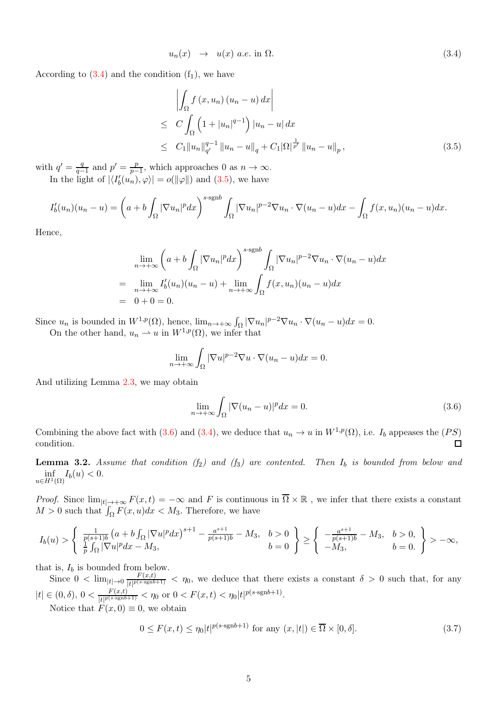$$
u_n(x) \rightarrow u(x) \ a.e. \ \text{in } \Omega.
$$

According to  $(3.4)$  and the condition  $(f_1)$ , we have

<span id="page-4-0"></span>
$$
\left| \int_{\Omega} f(x, u_n) (u_n - u) dx \right|
$$
  
\n
$$
\leq C \int_{\Omega} \left( 1 + |u_n|^{q-1} \right) |u_n - u| dx
$$
  
\n
$$
\leq C_1 \|u_n\|_{q'}^{q-1} \|u_n - u\|_q + C_1 |\Omega|^{\frac{1}{p'}} \|u_n - u\|_p , \tag{3.5}
$$

with  $q'=\frac{q}{q}$  $\frac{q}{q-1}$  and  $p' = \frac{p}{p-1}$  $\frac{p}{p-1}$ , which approaches 0 as  $n \to \infty$ . In the light of  $|\langle I'_b(u_n), \varphi \rangle| = o(||\varphi||)$  and [\(3.5\)](#page-4-0), we have

$$
I'_b(u_n)(u_n-u) = \left(a + b \int_{\Omega} |\nabla u_n|^p dx\right)^{s \cdot \operatorname{sgn}b} \int_{\Omega} |\nabla u_n|^{p-2} \nabla u_n \cdot \nabla (u_n-u) dx - \int_{\Omega} f(x, u_n)(u_n-u) dx.
$$

Hence,

$$
\lim_{n \to +\infty} \left( a + b \int_{\Omega} |\nabla u_n|^p dx \right)^{s \cdot \text{sgn}b} \int_{\Omega} |\nabla u_n|^{p-2} \nabla u_n \cdot \nabla (u_n - u) dx
$$
\n
$$
= \lim_{n \to +\infty} I'_b(u_n)(u_n - u) + \lim_{n \to +\infty} \int_{\Omega} f(x, u_n)(u_n - u) dx
$$
\n
$$
= 0 + 0 = 0.
$$

Since  $u_n$  is bounded in  $W^{1,p}(\Omega)$ , hence,  $\lim_{n\to+\infty} \int_{\Omega} |\nabla u_n|^{p-2} \nabla u_n \cdot \nabla (u_n - u) dx = 0$ . On the other hand,  $u_n \rightharpoonup u$  in  $W^{1,p}(\Omega)$ , we infer that

$$
\lim_{n \to +\infty} \int_{\Omega} |\nabla u|^{p-2} \nabla u \cdot \nabla (u_n - u) dx = 0.
$$

And utilizing Lemma [2.3,](#page-2-1) we may obtain

<span id="page-4-1"></span>
$$
\lim_{n \to +\infty} \int_{\Omega} |\nabla (u_n - u)|^p dx = 0. \tag{3.6}
$$

Combining the above fact with [\(3.6\)](#page-4-1) and [\(3.4\)](#page-3-1), we deduce that  $u_n \to u$  in  $W^{1,p}(\Omega)$ , i.e.  $I_b$  appeases the  $(PS)$ condition. □

<span id="page-4-3"></span>**Lemma 3.2.** Assume that condition  $(f_2)$  and  $(f_3)$  are contented. Then  $I_b$  is bounded from below and  $\inf_{u \in H^1(\Omega)} I_b(u) < 0.$ 

*Proof.* Since  $\lim_{|t|\to+\infty} F(x,t) = -\infty$  and F is continuous in  $\overline{\Omega}\times\mathbb{R}$ , we infer that there exists a constant  $M > 0$  such that  $\int_{\Omega} F(x, u) dx < M_3$ . Therefore, we have

$$
I_b(u) > \begin{cases} \frac{1}{p(s+1)b} \left( a + b \int_{\Omega} |\nabla u|^p dx \right)^{s+1} - \frac{a^{s+1}}{p(s+1)b} - M_3, & b > 0 \\ \frac{1}{p} \int_{\Omega} |\nabla u|^p dx - M_3, & b = 0 \end{cases} \ge \begin{cases} -\frac{a^{s+1}}{p(s+1)b} - M_3, & b > 0, \\ -M_3, & b = 0. \end{cases} > -\infty,
$$

that is,  $I_b$  is bounded from below.

Since  $0 < \lim_{|t| \to 0} \frac{F(x,t)}{|t|^{p(s \cdot \text{sgn}b)}}$  $\frac{f(x,t)}{|t|^{p(s\cdot sgnb+1)}} < \eta_0$ , we deduce that there exists a constant  $\delta > 0$  such that, for any  $|t| \in (0,\delta),\ 0 < \frac{F(x,t)}{1+|p(s) \text{sgn}b|}$  $\frac{F(x,t)}{|t|^{p(s\text{-sgn}b+1)}} < \eta_0 \text{ or } 0 < F(x,t) < \eta_0 |t|^{p(s\text{-sgn}b+1)}.$ Notice that  $F(x, 0) \equiv 0$ , we obtain

<span id="page-4-2"></span>
$$
0 \le F(x,t) \le \eta_0 |t|^{p(s \cdot \text{sgn}b + 1)} \text{ for any } (x,|t|) \in \overline{\Omega} \times [0,\delta]. \tag{3.7}
$$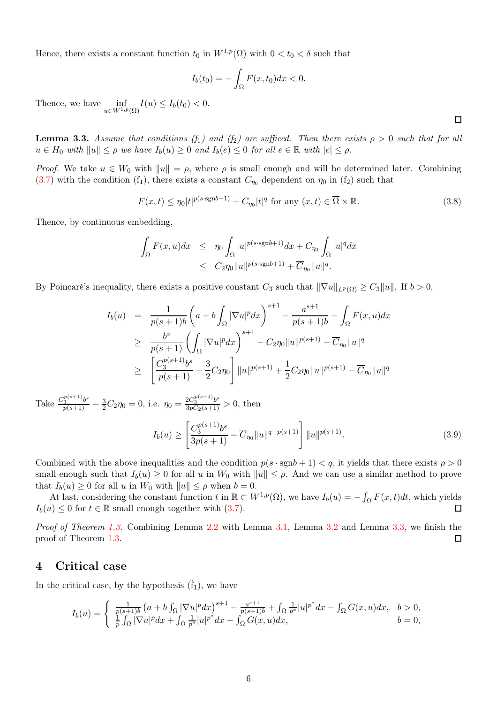Hence, there exists a constant function  $t_0$  in  $W^{1,p}(\Omega)$  with  $0 < t_0 < \delta$  such that

$$
I_b(t_0) = -\int_{\Omega} F(x, t_0) dx < 0.
$$

Thence, we have  $\inf_{u \in W^{1,p}(\Omega)} I(u) \leq I_b(t_0) < 0.$ 

<span id="page-5-0"></span>**Lemma 3.3.** Assume that conditions (f<sub>1</sub>) and (f<sub>2</sub>) are sufficed. Then there exists  $\rho > 0$  such that for all  $u \in H_0$  with  $||u|| \leq \rho$  we have  $I_b(u) \geq 0$  and  $I_b(e) \leq 0$  for all  $e \in \mathbb{R}$  with  $|e| \leq \rho$ .

*Proof.* We take  $u \in W_0$  with  $||u|| = \rho$ , where  $\rho$  is small enough and will be determined later. Combining  $(3.7)$  with the condition  $(f_1)$ , there exists a constant  $C_{\eta_0}$  dependent on  $\eta_0$  in  $(f_2)$  such that

$$
F(x,t) \le \eta_0 |t|^{p(s \cdot \text{sgn}b+1)} + C_{\eta_0} |t|^q \text{ for any } (x,t) \in \overline{\Omega} \times \mathbb{R}.
$$
 (3.8)

Thence, by continuous embedding,

$$
\int_{\Omega} F(x, u) dx \leq \eta_0 \int_{\Omega} |u|^{p(s \cdot \text{sgn}b + 1)} dx + C_{\eta_0} \int_{\Omega} |u|^q dx
$$
  

$$
\leq C_2 \eta_0 \|u\|^{p(s \cdot \text{sgn}b + 1)} + \overline{C}_{\eta_0} \|u\|^q.
$$

By Poincaré's inequality, there exists a positive constant  $C_3$  such that  $\|\nabla u\|_{L^p(\Omega)} \geq C_3 \|u\|$ . If  $b > 0$ ,

$$
I_b(u) = \frac{1}{p(s+1)b} \left( a + b \int_{\Omega} |\nabla u|^p dx \right)^{s+1} - \frac{a^{s+1}}{p(s+1)b} - \int_{\Omega} F(x, u) dx
$$
  
\n
$$
\geq \frac{b^s}{p(s+1)} \left( \int_{\Omega} |\nabla u|^p dx \right)^{s+1} - C_2 \eta_0 \|u\|^{p(s+1)} - \overline{C}_{\eta_0} \|u\|^q
$$
  
\n
$$
\geq \left[ \frac{C_3^{p(s+1)} b^s}{p(s+1)} - \frac{3}{2} C_2 \eta_0 \right] \|u\|^{p(s+1)} + \frac{1}{2} C_2 \eta_0 \|u\|^{p(s+1)} - \overline{C}_{\eta_0} \|u\|^q
$$

Take  $\frac{C_3^{p(s+1)}b^s}{p(s+1)} - \frac{3}{2}C_2\eta_0 = 0$ , i.e.  $\eta_0 = \frac{2C_3^{p(s+1)}b^s}{3pC_2(s+1)} > 0$ , then

$$
I_b(u) \ge \left[ \frac{C_3^{p(s+1)} b^s}{3p(s+1)} - \overline{C}_{\eta_0} \|u\|^{q-p(s+1)} \right] \|u\|^{p(s+1)}.
$$
\n(3.9)

Combined with the above inequalities and the condition  $p(s \cdot \text{sgn}b + 1) < q$ , it yields that there exists  $\rho > 0$ small enough such that  $I_b(u) \geq 0$  for all u in  $W_0$  with  $||u|| \leq \rho$ . And we can use a similar method to prove that  $I_b(u) \geq 0$  for all u in  $W_0$  with  $||u|| \leq \rho$  when  $b = 0$ .

At last, considering the constant function t in  $\mathbb{R} \subset W^{1,p}(\Omega)$ , we have  $I_b(u) = -\int_{\Omega} F(x,t)dt$ , which yields  $I_b(u) \leq 0$  for  $t \in \mathbb{R}$  small enough together with  $(3.7)$ .  $\Box$ 

Proof of Theorem [1.3.](#page-1-0) Combining Lemma [2.2](#page-2-0) with Lemma [3.1,](#page-2-2) Lemma [3.2](#page-4-3) and Lemma [3.3,](#page-5-0) we finish the proof of Theorem [1.3.](#page-1-0)  $\Box$ 

#### 4 Critical case

In the critical case, by the hypothesis  $(\tilde{f}_1)$ , we have

$$
I_b(u) = \begin{cases} \frac{1}{p(s+1)b} \left( a + b \int_{\Omega} |\nabla u|^p dx \right)^{s+1} - \frac{a^{s+1}}{p(s+1)b} + \int_{\Omega} \frac{1}{p^*} |u|^{p^*} dx - \int_{\Omega} G(x, u) dx, & b > 0, \\ \frac{1}{p} \int_{\Omega} |\nabla u|^p dx + \int_{\Omega} \frac{1}{p^*} |u|^{p^*} dx - \int_{\Omega} G(x, u) dx, & b = 0, \end{cases}
$$

 $\Box$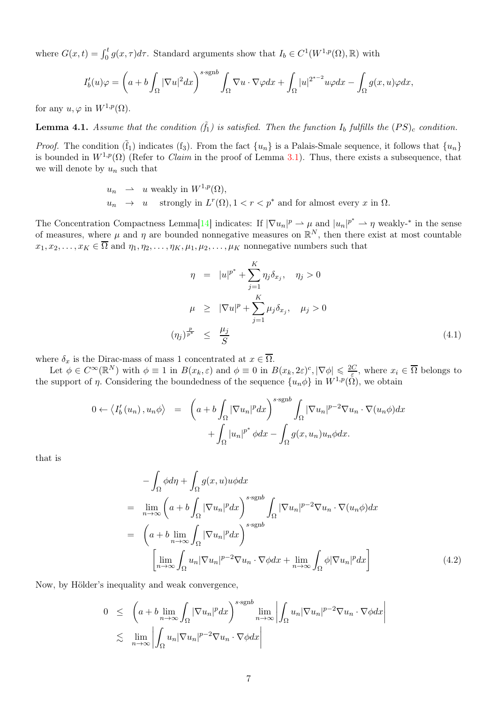where  $G(x,t) = \int_0^t g(x,\tau)d\tau$ . Standard arguments show that  $I_b \in C^1(W^{1,p}(\Omega),\mathbb{R})$  with

$$
I'_b(u)\varphi = \left(a + b \int_{\Omega} |\nabla u|^2 dx\right)^{s \cdot \text{sgn}b} \int_{\Omega} \nabla u \cdot \nabla \varphi dx + \int_{\Omega} |u|^{2^{*-2}} u \varphi dx - \int_{\Omega} g(x, u) \varphi dx,
$$

for any  $u, \varphi$  in  $W^{1,p}(\Omega)$ .

<span id="page-6-1"></span>**Lemma 4.1.** Assume that the condition  $(\tilde{f}_1)$  is satisfied. Then the function  $I_b$  fulfills the  $(PS)_c$  condition.

*Proof.* The condition  $(\tilde{f}_1)$  indicates  $(f_3)$ . From the fact  $\{u_n\}$  is a Palais-Smale sequence, it follows that  $\{u_n\}$ is bounded in  $W^{1,p}(\Omega)$  (Refer to *Claim* in the proof of Lemma [3.1\)](#page-2-2). Thus, there exists a subsequence, that we will denote by  $u_n$  such that

$$
u_n \rightarrow u \text{ weakly in } W^{1,p}(\Omega),
$$
  
\n
$$
u_n \rightarrow u \text{ strongly in } L^r(\Omega), 1 < r < p^* \text{ and for almost every } x \text{ in } \Omega.
$$

The Concentration Compactness Lemma<sup>[\[14\]](#page-8-12)</sup> indicates: If  $|\nabla u_n|^p \rightharpoonup \mu$  and  $|u_n|^{p^*} \rightharpoonup \eta$  weakly-<sup>\*</sup> in the sense of measures, where  $\mu$  and  $\eta$  are bounded nonnegative measures on  $\mathbb{R}^N$ , then there exist at most countable  $x_1, x_2, \ldots, x_K \in \overline{\Omega}$  and  $\eta_1, \eta_2, \ldots, \eta_K, \mu_1, \mu_2, \ldots, \mu_K$  nonnegative numbers such that

$$
\eta = |u|^{p^*} + \sum_{j=1}^K \eta_j \delta_{x_j}, \quad \eta_j > 0
$$
  

$$
\mu \geq |\nabla u|^p + \sum_{j=1}^K \mu_j \delta_{x_j}, \quad \mu_j > 0
$$
  

$$
(\eta_j)_{p^*}^{\frac{p}{p^*}} \leq \frac{\mu_j}{S} \tag{4.1}
$$

where  $\delta_x$  is the Dirac-mass of mass 1 concentrated at  $x \in \overline{\Omega}$ .

Let  $\phi \in C^{\infty}(\mathbb{R}^N)$  with  $\phi \equiv 1$  in  $B(x_k, \varepsilon)$  and  $\phi \equiv 0$  in  $B(x_k, 2\varepsilon)^c$ ,  $|\nabla \phi| \leq \frac{2C}{\varepsilon}$ , where  $x_i \in \overline{\Omega}$  belongs to the support of  $\eta$ . Considering the boundedness of the sequence  $\{u_n \phi\}$  in  $W^{1,p}(\Omega)$ , we obtain

$$
0 \leftarrow \langle I'_b(u_n), u_n \phi \rangle = \left( a + b \int_{\Omega} |\nabla u_n|^p dx \right)^{s \cdot \text{sgn}b} \int_{\Omega} |\nabla u_n|^{p-2} \nabla u_n \cdot \nabla (u_n \phi) dx + \int_{\Omega} |u_n|^{p^*} \phi dx - \int_{\Omega} g(x, u_n) u_n \phi dx.
$$

that is

<span id="page-6-0"></span>
$$
-\int_{\Omega} \phi d\eta + \int_{\Omega} g(x, u)u \phi dx
$$
  
= 
$$
\lim_{n \to \infty} \left( a + b \int_{\Omega} |\nabla u_n|^p dx \right)^{s \cdot \text{sgn}b} \int_{\Omega} |\nabla u_n|^{p-2} \nabla u_n \cdot \nabla (u_n \phi) dx
$$
  
= 
$$
\left( a + b \lim_{n \to \infty} \int_{\Omega} |\nabla u_n|^p dx \right)^{s \cdot \text{sgn}b}
$$
  

$$
\left[ \lim_{n \to \infty} \int_{\Omega} u_n |\nabla u_n|^{p-2} \nabla u_n \cdot \nabla \phi dx + \lim_{n \to \infty} \int_{\Omega} \phi |\nabla u_n|^p dx \right]
$$
(4.2)

Now, by Hölder's inequality and weak convergence,

$$
0 \leq \left( a + b \lim_{n \to \infty} \int_{\Omega} |\nabla u_n|^p dx \right)^{s \cdot \operatorname{sgn} b} \lim_{n \to \infty} \left| \int_{\Omega} u_n |\nabla u_n|^{p-2} \nabla u_n \cdot \nabla \phi dx \right|
$$
  

$$
\lesssim \lim_{n \to \infty} \left| \int_{\Omega} u_n |\nabla u_n|^{p-2} \nabla u_n \cdot \nabla \phi dx \right|
$$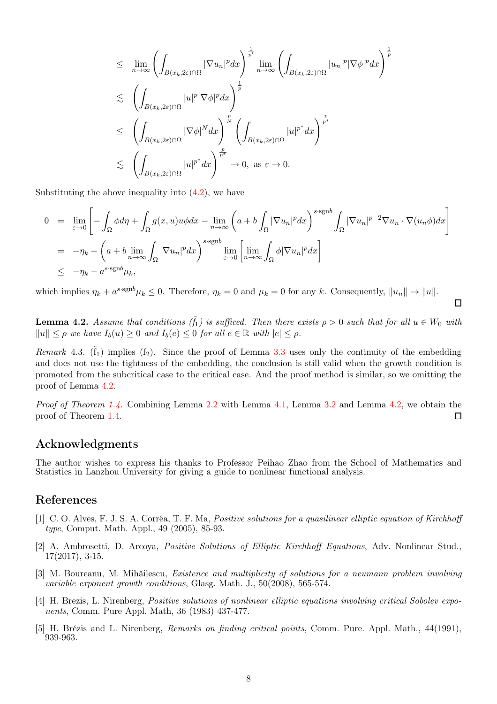$$
\leq \lim_{n \to \infty} \left( \int_{B(x_k, 2\varepsilon) \cap \Omega} |\nabla u_n|^p dx \right)^{\frac{1}{p'}} \lim_{n \to \infty} \left( \int_{B(x_k, 2\varepsilon) \cap \Omega} |u_n|^p |\nabla \phi|^p dx \right)^{\frac{1}{p}}
$$
  

$$
\leq \left( \int_{B(x_k, 2\varepsilon) \cap \Omega} |u|^p |\nabla \phi|^p dx \right)^{\frac{p}{p}}
$$
  

$$
\leq \left( \int_{B(x_k, 2\varepsilon) \cap \Omega} |\nabla \phi|^N dx \right)^{\frac{p}{N}} \left( \int_{B(x_k, 2\varepsilon) \cap \Omega} |u|^{p^*} dx \right)^{\frac{p}{p^*}}
$$
  

$$
\leq \left( \int_{B(x_k, 2\varepsilon) \cap \Omega} |u|^{p^*} dx \right)^{\frac{p}{p^*}}
$$
  

$$
\to 0, \text{ as } \varepsilon \to 0.
$$

Substituting the above inequality into  $(4.2)$ , we have

$$
0 = \lim_{\varepsilon \to 0} \left[ -\int_{\Omega} \phi d\eta + \int_{\Omega} g(x, u)u \phi dx - \lim_{n \to \infty} \left( a + b \int_{\Omega} |\nabla u_n|^p dx \right)^{s \cdot \text{sgn}b} \int_{\Omega} |\nabla u_n|^{p-2} \nabla u_n \cdot \nabla (u_n \phi) dx \right]
$$
  
\n
$$
= -\eta_k - \left( a + b \lim_{n \to \infty} \int_{\Omega} |\nabla u_n|^p dx \right)^{s \cdot \text{sgn}b} \lim_{\varepsilon \to 0} \left[ \lim_{n \to \infty} \int_{\Omega} \phi |\nabla u_n|^p dx \right]
$$
  
\n
$$
\leq -\eta_k - a^{s \cdot \text{sgn}b} \mu_k,
$$

which implies  $\eta_k + a^{s \cdot \text{sgn}b} \mu_k \leq 0$ . Therefore,  $\eta_k = 0$  and  $\mu_k = 0$  for any k. Consequently,  $||u_n|| \to ||u||$ .

<span id="page-7-5"></span>**Lemma 4.2.** Assume that conditions  $(\tilde{f}_1)$  is sufficed. Then there exists  $\rho > 0$  such that for all  $u \in W_0$  with  $||u|| \leq \rho$  we have  $I_b(u) \geq 0$  and  $I_b(e) \leq 0$  for all  $e \in \mathbb{R}$  with  $|e| \leq \rho$ .

 $\Box$ 

Remark 4.3.  $(\tilde{f}_1)$  implies  $(f_2)$ . Since the proof of Lemma [3.3](#page-5-0) uses only the continuity of the embedding and does not use the tightness of the embedding, the conclusion is still valid when the growth condition is promoted from the subcritical case to the critical case. And the proof method is similar, so we omitting the proof of Lemma [4.2.](#page-7-5)

*Proof of Theorem [1.4.](#page-1-1)* Combining Lemma  $2.2$  with Lemma  $4.1$ , Lemma  $3.2$  and Lemma  $4.2$ , we obtain the proof of Theorem [1.4.](#page-1-1)  $\Box$ 

### Acknowledgments

The author wishes to express his thanks to Professor Peihao Zhao from the School of Mathematics and Statistics in Lanzhou University for giving a guide to nonlinear functional analysis.

### <span id="page-7-0"></span>References

- [1] C. O. Alves, F. J. S. A. Corrêa, T. F. Ma, Positive solutions for a quasilinear elliptic equation of Kirchhoff type, Comput. Math. Appl., 49 (2005), 85-93.
- <span id="page-7-2"></span>[2] A. Ambrosetti, D. Arcoya, Positive Solutions of Elliptic Kirchhoff Equations, Adv. Nonlinear Stud., 17(2017), 3-15.
- <span id="page-7-3"></span>[3] M. Boureanu, M. Mihăilescu, Existence and multiplicity of solutions for a neumann problem involving variable exponent growth conditions, Glasg. Math. J., 50(2008), 565-574.
- <span id="page-7-1"></span>[4] H. Brezis, L. Nirenberg, Positive solutions of nonlinear elliptic equations involving critical Sobolev exponents, Comm. Pure Appl. Math, 36 (1983) 437-477.
- <span id="page-7-4"></span>[5] H. Brézis and L. Nirenberg, Remarks on finding critical points, Comm. Pure. Appl. Math., 44(1991), 939-963.